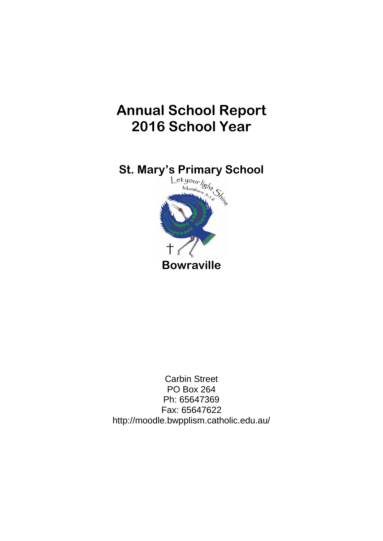# **Annual School Report 2016 School Year**



Carbin Street PO Box 264 Ph: 65647369 Fax: 65647622 http://moodle.bwpplism.catholic.edu.au/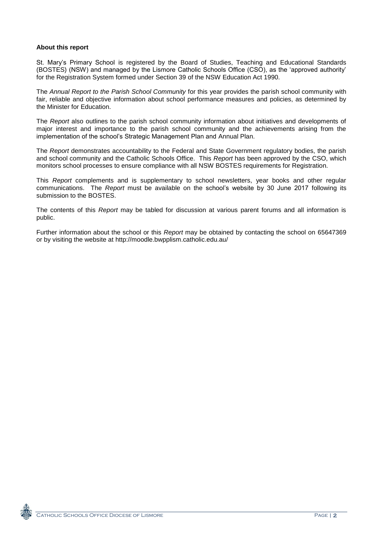# **About this report**

St. Mary's Primary School is registered by the Board of Studies, Teaching and Educational Standards (BOSTES) (NSW) and managed by the Lismore Catholic Schools Office (CSO), as the 'approved authority' for the Registration System formed under Section 39 of the NSW Education Act 1990.

The *Annual Report to the Parish School Community* for this year provides the parish school community with fair, reliable and objective information about school performance measures and policies, as determined by the Minister for Education.

The *Report* also outlines to the parish school community information about initiatives and developments of major interest and importance to the parish school community and the achievements arising from the implementation of the school's Strategic Management Plan and Annual Plan.

The *Report* demonstrates accountability to the Federal and State Government regulatory bodies, the parish and school community and the Catholic Schools Office. This *Report* has been approved by the CSO, which monitors school processes to ensure compliance with all NSW BOSTES requirements for Registration.

This *Report* complements and is supplementary to school newsletters, year books and other regular communications. The *Report* must be available on the school's website by 30 June 2017 following its submission to the BOSTES.

The contents of this *Report* may be tabled for discussion at various parent forums and all information is public.

Further information about the school or this *Report* may be obtained by contacting the school on 65647369 or by visiting the website at http://moodle.bwpplism.catholic.edu.au/

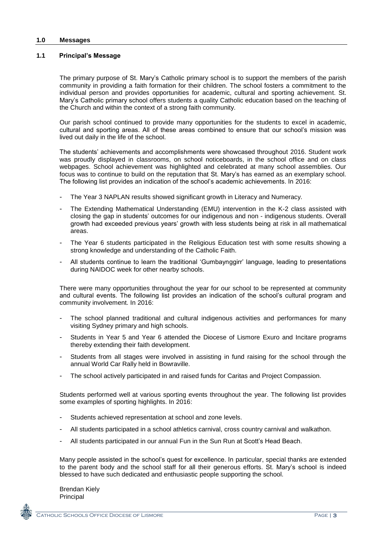#### **1.0 Messages**

#### **1.1 Principal's Message**

The primary purpose of St. Mary's Catholic primary school is to support the members of the parish community in providing a faith formation for their children. The school fosters a commitment to the individual person and provides opportunities for academic, cultural and sporting achievement. St. Mary's Catholic primary school offers students a quality Catholic education based on the teaching of the Church and within the context of a strong faith community.

Our parish school continued to provide many opportunities for the students to excel in academic, cultural and sporting areas. All of these areas combined to ensure that our school's mission was lived out daily in the life of the school.

The students' achievements and accomplishments were showcased throughout 2016. Student work was proudly displayed in classrooms, on school noticeboards, in the school office and on class webpages. School achievement was highlighted and celebrated at many school assemblies. Our focus was to continue to build on the reputation that St. Mary's has earned as an exemplary school. The following list provides an indication of the school's academic achievements. In 2016:

- The Year 3 NAPLAN results showed significant growth in Literacy and Numeracy.
- The Extending Mathematical Understanding (EMU) intervention in the K-2 class assisted with closing the gap in students' outcomes for our indigenous and non - indigenous students. Overall growth had exceeded previous years' growth with less students being at risk in all mathematical areas.
- The Year 6 students participated in the Religious Education test with some results showing a strong knowledge and understanding of the Catholic Faith.
- All students continue to learn the traditional 'Gumbaynggirr' language, leading to presentations during NAIDOC week for other nearby schools.

There were many opportunities throughout the year for our school to be represented at community and cultural events. The following list provides an indication of the school's cultural program and community involvement. In 2016:

- The school planned traditional and cultural indigenous activities and performances for many visiting Sydney primary and high schools.
- Students in Year 5 and Year 6 attended the Diocese of Lismore Exuro and Incitare programs thereby extending their faith development.
- Students from all stages were involved in assisting in fund raising for the school through the annual World Car Rally held in Bowraville.
- The school actively participated in and raised funds for Caritas and Project Compassion.

Students performed well at various sporting events throughout the year. The following list provides some examples of sporting highlights. In 2016:

- Students achieved representation at school and zone levels.
- All students participated in a school athletics carnival, cross country carnival and walkathon.
- All students participated in our annual Fun in the Sun Run at Scott's Head Beach.

Many people assisted in the school's quest for excellence. In particular, special thanks are extended to the parent body and the school staff for all their generous efforts. St. Mary's school is indeed blessed to have such dedicated and enthusiastic people supporting the school.

Brendan Kiely Principal

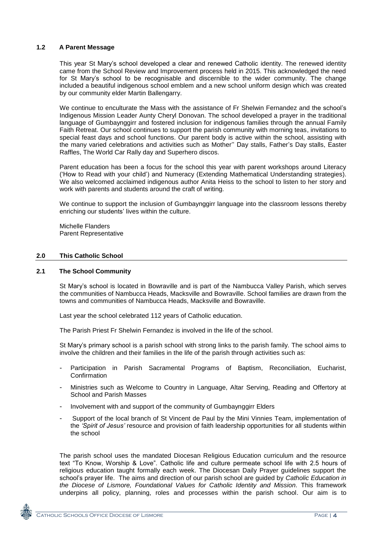# **1.2 A Parent Message**

This year St Mary's school developed a clear and renewed Catholic identity. The renewed identity came from the School Review and Improvement process held in 2015. This acknowledged the need for St Mary's school to be recognisable and discernible to the wider community. The change included a beautiful indigenous school emblem and a new school uniform design which was created by our community elder Martin Ballengarry.

We continue to enculturate the Mass with the assistance of Fr Shelwin Fernandez and the school's Indigenous Mission Leader Aunty Cheryl Donovan. The school developed a prayer in the traditional language of Gumbaynggirr and fostered inclusion for indigenous families through the annual Family Faith Retreat. Our school continues to support the parish community with morning teas, invitations to special feast days and school functions. Our parent body is active within the school, assisting with the many varied celebrations and activities such as Mother'' Day stalls, Father's Day stalls, Easter Raffles, The World Car Rally day and Superhero discos.

Parent education has been a focus for the school this year with parent workshops around Literacy ('How to Read with your child') and Numeracy (Extending Mathematical Understanding strategies). We also welcomed acclaimed indigenous author Anita Heiss to the school to listen to her story and work with parents and students around the craft of writing.

We continue to support the inclusion of Gumbaynggirr language into the classroom lessons thereby enriching our students' lives within the culture.

Michelle Flanders Parent Representative

# **2.0 This Catholic School**

# **2.1 The School Community**

St Mary's school is located in Bowraville and is part of the Nambucca Valley Parish, which serves the communities of Nambucca Heads, Macksville and Bowraville. School families are drawn from the towns and communities of Nambucca Heads, Macksville and Bowraville.

Last year the school celebrated 112 years of Catholic education.

The Parish Priest Fr Shelwin Fernandez is involved in the life of the school.

St Mary's primary school is a parish school with strong links to the parish family. The school aims to involve the children and their families in the life of the parish through activities such as:

- Participation in Parish Sacramental Programs of Baptism, Reconciliation, Eucharist, **Confirmation**
- Ministries such as Welcome to Country in Language, Altar Serving, Reading and Offertory at School and Parish Masses
- Involvement with and support of the community of Gumbaynggirr Elders
- Support of the local branch of St Vincent de Paul by the Mini Vinnies Team, implementation of the *'Spirit of Jesus'* resource and provision of faith leadership opportunities for all students within the school

The parish school uses the mandated Diocesan Religious Education curriculum and the resource text "To Know, Worship & Love". Catholic life and culture permeate school life with 2.5 hours of religious education taught formally each week. The Diocesan Daily Prayer guidelines support the school's prayer life. The aims and direction of our parish school are guided by *Catholic Education in the Diocese of Lismore, Foundational Values for Catholic Identity and Mission.* This framework underpins all policy, planning, roles and processes within the parish school. Our aim is to

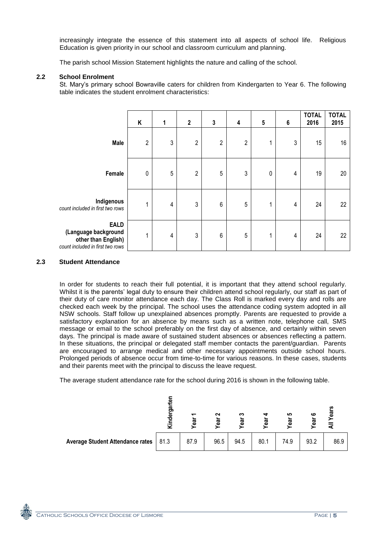increasingly integrate the essence of this statement into all aspects of school life. Religious Education is given priority in our school and classroom curriculum and planning.

The parish school Mission Statement highlights the nature and calling of the school.

# **2.2 School Enrolment**

St. Mary's primary school Bowraville caters for children from Kindergarten to Year 6. The following table indicates the student enrolment characteristics:

|                                                                                                | Κ              | 1              | $\mathbf 2$    | $\mathbf{3}$    | 4              | ${\bf 5}$ | 6 | <b>TOTAL</b><br>2016 | <b>TOTAL</b><br>2015 |
|------------------------------------------------------------------------------------------------|----------------|----------------|----------------|-----------------|----------------|-----------|---|----------------------|----------------------|
| Male                                                                                           | $\overline{c}$ | $\mathfrak{Z}$ | $\overline{2}$ | $\overline{2}$  | $\overline{c}$ | 1         | 3 | 15                   | 16                   |
| Female                                                                                         | $\pmb{0}$      | 5              | $\overline{2}$ | 5               | $\sqrt{3}$     | 0         | 4 | 19                   | 20                   |
| Indigenous<br>count included in first two rows                                                 |                | 4              | 3              | $6\phantom{1}6$ | $\sqrt{5}$     | 1         | 4 | 24                   | 22                   |
| <b>EALD</b><br>(Language background<br>other than English)<br>count included in first two rows | 4              | 4              | 3              | $6\phantom{1}6$ | 5              | 1         | 4 | 24                   | 22                   |

#### **2.3 Student Attendance**

In order for students to reach their full potential, it is important that they attend school regularly. Whilst it is the parents' legal duty to ensure their children attend school regularly, our staff as part of their duty of care monitor attendance each day. The Class Roll is marked every day and rolls are checked each week by the principal. The school uses the attendance coding system adopted in all NSW schools. Staff follow up unexplained absences promptly. Parents are requested to provide a satisfactory explanation for an absence by means such as a written note, telephone call, SMS message or email to the school preferably on the first day of absence, and certainly within seven days. The principal is made aware of sustained student absences or absences reflecting a pattern. In these situations, the principal or delegated staff member contacts the parent/guardian. Parents are encouraged to arrange medical and other necessary appointments outside school hours. Prolonged periods of absence occur from time-to-time for various reasons. In these cases, students and their parents meet with the principal to discuss the leave request.

The average student attendance rate for the school during 2016 is shown in the following table.



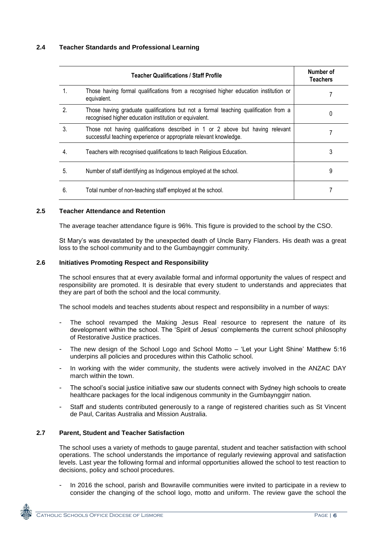# **2.4 Teacher Standards and Professional Learning**

|                | Teacher Qualifications / Staff Profile                                                                                                             | Number of<br>Teachers |
|----------------|----------------------------------------------------------------------------------------------------------------------------------------------------|-----------------------|
|                | Those having formal qualifications from a recognised higher education institution or<br>equivalent.                                                |                       |
| $\mathfrak{D}$ | Those having graduate qualifications but not a formal teaching qualification from a<br>recognised higher education institution or equivalent.      | 0                     |
| 3.             | Those not having qualifications described in 1 or 2 above but having relevant<br>successful teaching experience or appropriate relevant knowledge. |                       |
| 4.             | Teachers with recognised qualifications to teach Religious Education.                                                                              | 3                     |
| 5.             | Number of staff identifying as Indigenous employed at the school.                                                                                  | 9                     |
| 6.             | Total number of non-teaching staff employed at the school.                                                                                         |                       |

#### **2.5 Teacher Attendance and Retention**

The average teacher attendance figure is 96%. This figure is provided to the school by the CSO.

St Mary's was devastated by the unexpected death of Uncle Barry Flanders. His death was a great loss to the school community and to the Gumbaynggirr community.

#### **2.6 Initiatives Promoting Respect and Responsibility**

The school ensures that at every available formal and informal opportunity the values of respect and responsibility are promoted. It is desirable that every student to understands and appreciates that they are part of both the school and the local community.

The school models and teaches students about respect and responsibility in a number of ways:

- The school revamped the Making Jesus Real resource to represent the nature of its development within the school. The 'Spirit of Jesus' complements the current school philosophy of Restorative Justice practices.
- The new design of the School Logo and School Motto 'Let your Light Shine' Matthew 5:16 underpins all policies and procedures within this Catholic school.
- In working with the wider community, the students were actively involved in the ANZAC DAY march within the town.
- The school's social justice initiative saw our students connect with Sydney high schools to create healthcare packages for the local indigenous community in the Gumbaynggirr nation.
- Staff and students contributed generously to a range of registered charities such as St Vincent de Paul, Caritas Australia and Mission Australia.

# **2.7 Parent, Student and Teacher Satisfaction**

The school uses a variety of methods to gauge parental, student and teacher satisfaction with school operations. The school understands the importance of regularly reviewing approval and satisfaction levels. Last year the following formal and informal opportunities allowed the school to test reaction to decisions, policy and school procedures.

- In 2016 the school, parish and Bowraville communities were invited to participate in a review to consider the changing of the school logo, motto and uniform. The review gave the school the

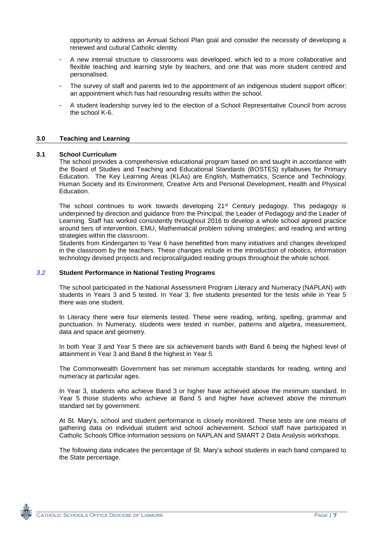opportunity to address an Annual School Plan goal and consider the necessity of developing a renewed and cultural Catholic identity.

- A new internal structure to classrooms was developed, which led to a more collaborative and flexible teaching and learning style by teachers, and one that was more student centred and personalised.
- The survey of staff and parents led to the appointment of an indigenous student support officer; an appointment which has had resounding results within the school.
- A student leadership survey led to the election of a School Representative Council from across the school K-6.

#### **3.0 Teaching and Learning**

#### **3.1 School Curriculum**

The school provides a comprehensive educational program based on and taught in accordance with the Board of Studies and Teaching and Educational Standards (BOSTES) syllabuses for Primary Education. The Key Learning Areas (KLAs) are English, Mathematics, Science and Technology, Human Society and its Environment, Creative Arts and Personal Development, Health and Physical Education.

The school continues to work towards developing  $21^{st}$  Century pedagogy. This pedagogy is underpinned by direction and guidance from the Principal, the Leader of Pedagogy and the Leader of Learning. Staff has worked consistently throughout 2016 to develop a whole school agreed practice around tiers of intervention, EMU, Mathematical problem solving strategies; and reading and writing strategies within the classroom.

Students from Kindergarten to Year 6 have benefitted from many initiatives and changes developed in the classroom by the teachers. These changes include in the introduction of robotics, information technology devised projects and reciprocal/guided reading groups throughout the whole school.

#### *3.2* **Student Performance in National Testing Programs**

The school participated in the National Assessment Program Literacy and Numeracy (NAPLAN) with students in Years 3 and 5 tested. In Year 3, five students presented for the tests while in Year 5 there was one student.

In Literacy there were four elements tested. These were reading, writing, spelling, grammar and punctuation. In Numeracy, students were tested in number, patterns and algebra, measurement, data and space and geometry.

In both Year 3 and Year 5 there are six achievement bands with Band 6 being the highest level of attainment in Year 3 and Band 8 the highest in Year 5.

The Commonwealth Government has set minimum acceptable standards for reading, writing and numeracy at particular ages.

In Year 3, students who achieve Band 3 or higher have achieved above the minimum standard. In Year 5 those students who achieve at Band 5 and higher have achieved above the minimum standard set by government.

At St. Mary's, school and student performance is closely monitored. These tests are one means of gathering data on individual student and school achievement. School staff have participated in Catholic Schools Office information sessions on NAPLAN and SMART 2 Data Analysis workshops.

The following data indicates the percentage of St. Mary's school students in each band compared to the State percentage.

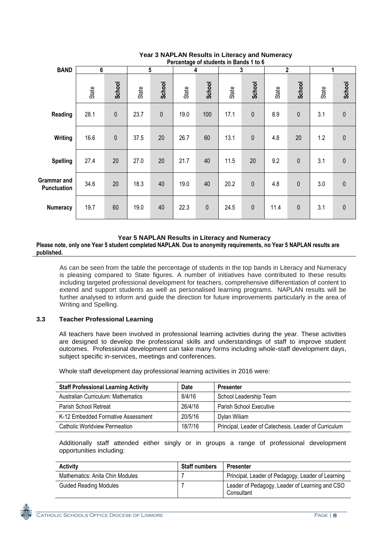|                                   | Percentage of students in Bands 1 to 6 |              |       |             |       |             |       |              |              |              |       |              |
|-----------------------------------|----------------------------------------|--------------|-------|-------------|-------|-------------|-------|--------------|--------------|--------------|-------|--------------|
| <b>BAND</b>                       | 6                                      |              | 5     |             | 4     |             | 3     |              | $\mathbf{2}$ |              | 1     |              |
|                                   | State                                  | School       | State | School      | State | School      | State | School       | State        | School       | State | School       |
| Reading                           | 28.1                                   | $\mathbf{0}$ | 23.7  | $\mathbf 0$ | 19.0  | 100         | 17.1  | $\pmb{0}$    | 8.9          | $\pmb{0}$    | 3.1   | $\pmb{0}$    |
| Writing                           | 16.6                                   | $\mathbf{0}$ | 37.5  | 20          | 26.7  | 60          | 13.1  | $\mathbf 0$  | 4.8          | 20           | 1.2   | $\mathbf{0}$ |
| <b>Spelling</b>                   | 27.4                                   | 20           | 27.0  | 20          | 21.7  | 40          | 11.5  | 20           | 9.2          | $\pmb{0}$    | 3.1   | $\pmb{0}$    |
| Grammar and<br><b>Punctuation</b> | 34.6                                   | 20           | 18.3  | 40          | 19.0  | 40          | 20.2  | $\mathbf{0}$ | 4.8          | $\mathbf{0}$ | 3.0   | $\mathbf{0}$ |
| <b>Numeracy</b>                   | 19.7                                   | 60           | 19.0  | 40          | 22.3  | $\mathbf 0$ | 24.5  | $\pmb{0}$    | 11.4         | $\mathbf 0$  | 3.1   | $\pmb{0}$    |

# **Year 3 NAPLAN Results in Literacy and Numeracy**

# **Year 5 NAPLAN Results in Literacy and Numeracy**

**Please note, only one Year 5 student completed NAPLAN. Due to anonymity requirements, no Year 5 NAPLAN results are published.**

As can be seen from the table the percentage of students in the top bands in Literacy and Numeracy is pleasing compared to State figures. A number of initiatives have contributed to these results including targeted professional development for teachers, comprehensive differentiation of content to extend and support students as well as personalised learning programs. NAPLAN results will be further analysed to inform and guide the direction for future improvements particularly in the area of Writing and Spelling.

# **3.3 Teacher Professional Learning**

All teachers have been involved in professional learning activities during the year. These activities are designed to develop the professional skills and understandings of staff to improve student outcomes. Professional development can take many forms including whole-staff development days, subject specific in-services, meetings and conferences.

Whole staff development day professional learning activities in 2016 were:

| <b>Staff Professional Learning Activity</b> | Date    | <b>Presenter</b>                                      |
|---------------------------------------------|---------|-------------------------------------------------------|
| Australian Curriculum: Mathematics          | 8/4/16  | School Leadership Team                                |
| Parish School Retreat                       | 26/4/16 | <b>Parish School Executive</b>                        |
| K-12 Embedded Formative Assessment          | 20/5/16 | Dylan Wiliam                                          |
| Catholic Worldview Permeation               | 18/7/16 | Principal, Leader of Catechesis, Leader of Curriculum |

Additionally staff attended either singly or in groups a range of professional development opportunities including:

| <b>Activity</b>                 | <b>Staff numbers</b> | <b>Presenter</b>                                             |
|---------------------------------|----------------------|--------------------------------------------------------------|
| Mathematics: Anita Chin Modules |                      | Principal, Leader of Pedagogy, Leader of Learning            |
| <b>Guided Reading Modules</b>   |                      | Leader of Pedagogy, Leader of Learning and CSO<br>Consultant |

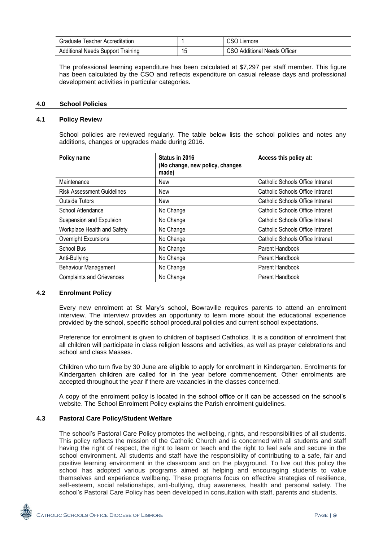| Graduate Teacher Accreditation           |                      | CSO Lismore                         |
|------------------------------------------|----------------------|-------------------------------------|
| <b>Additional Needs Support Training</b> | $\overline{A}$<br>15 | <b>CSO Additional Needs Officer</b> |

The professional learning expenditure has been calculated at \$7,297 per staff member. This figure has been calculated by the CSO and reflects expenditure on casual release days and professional development activities in particular categories.

### **4.0 School Policies**

#### **4.1 Policy Review**

School policies are reviewed regularly. The table below lists the school policies and notes any additions, changes or upgrades made during 2016.

| Policy name                       | Status in 2016<br>(No change, new policy, changes<br>made) | Access this policy at:                  |
|-----------------------------------|------------------------------------------------------------|-----------------------------------------|
| Maintenance                       | New                                                        | Catholic Schools Office Intranet        |
| <b>Risk Assessment Guidelines</b> | New                                                        | <b>Catholic Schools Office Intranet</b> |
| <b>Outside Tutors</b>             | New                                                        | Catholic Schools Office Intranet        |
| School Attendance                 | No Change                                                  | Catholic Schools Office Intranet        |
| Suspension and Expulsion          | No Change                                                  | <b>Catholic Schools Office Intranet</b> |
| Workplace Health and Safety       | No Change                                                  | <b>Catholic Schools Office Intranet</b> |
| Overnight Excursions              | No Change                                                  | Catholic Schools Office Intranet        |
| School Bus                        | No Change                                                  | Parent Handbook                         |
| Anti-Bullying                     | No Change                                                  | Parent Handbook                         |
| <b>Behaviour Management</b>       | No Change                                                  | Parent Handbook                         |
| <b>Complaints and Grievances</b>  | No Change                                                  | Parent Handbook                         |

# **4.2 Enrolment Policy**

Every new enrolment at St Mary's school, Bowraville requires parents to attend an enrolment interview. The interview provides an opportunity to learn more about the educational experience provided by the school, specific school procedural policies and current school expectations.

Preference for enrolment is given to children of baptised Catholics. It is a condition of enrolment that all children will participate in class religion lessons and activities, as well as prayer celebrations and school and class Masses.

Children who turn five by 30 June are eligible to apply for enrolment in Kindergarten. Enrolments for Kindergarten children are called for in the year before commencement. Other enrolments are accepted throughout the year if there are vacancies in the classes concerned.

A copy of the enrolment policy is located in the school office or it can be accessed on the school's website. The School Enrolment Policy explains the Parish enrolment guidelines.

# **4.3 Pastoral Care Policy/Student Welfare**

The school's Pastoral Care Policy promotes the wellbeing, rights, and responsibilities of all students. This policy reflects the mission of the Catholic Church and is concerned with all students and staff having the right of respect, the right to learn or teach and the right to feel safe and secure in the school environment. All students and staff have the responsibility of contributing to a safe, fair and positive learning environment in the classroom and on the playground. To live out this policy the school has adopted various programs aimed at helping and encouraging students to value themselves and experience wellbeing. These programs focus on effective strategies of resilience, self-esteem, social relationships, anti-bullying, drug awareness, health and personal safety. The school's Pastoral Care Policy has been developed in consultation with staff, parents and students.

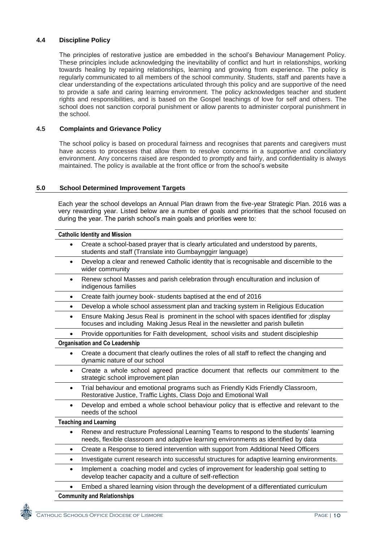# **4.4 Discipline Policy**

The principles of restorative justice are embedded in the school's Behaviour Management Policy. These principles include acknowledging the inevitability of conflict and hurt in relationships, working towards healing by repairing relationships, learning and growing from experience. The policy is regularly communicated to all members of the school community. Students, staff and parents have a clear understanding of the expectations articulated through this policy and are supportive of the need to provide a safe and caring learning environment. The policy acknowledges teacher and student rights and responsibilities, and is based on the Gospel teachings of love for self and others. The school does not sanction corporal punishment or allow parents to administer corporal punishment in the school.

# **4.5 Complaints and Grievance Policy**

The school policy is based on procedural fairness and recognises that parents and caregivers must have access to processes that allow them to resolve concerns in a supportive and conciliatory environment. Any concerns raised are responded to promptly and fairly, and confidentiality is always maintained. The policy is available at the front office or from the school's website

# **5.0 School Determined Improvement Targets**

Each year the school develops an Annual Plan drawn from the five-year Strategic Plan. 2016 was a very rewarding year. Listed below are a number of goals and priorities that the school focused on during the year. The parish school's main goals and priorities were to:

|           | <b>Catholic Identity and Mission</b>                                                                                                                                         |
|-----------|------------------------------------------------------------------------------------------------------------------------------------------------------------------------------|
| $\bullet$ | Create a school-based prayer that is clearly articulated and understood by parents,<br>students and staff (Translate into Gumbaynggirr language)                             |
| $\bullet$ | Develop a clear and renewed Catholic identity that is recognisable and discernible to the<br>wider community                                                                 |
| $\bullet$ | Renew school Masses and parish celebration through enculturation and inclusion of<br>indigenous families                                                                     |
| $\bullet$ | Create faith journey book- students baptised at the end of 2016                                                                                                              |
| $\bullet$ | Develop a whole school assessment plan and tracking system in Religious Education                                                                                            |
| $\bullet$ | Ensure Making Jesus Real is prominent in the school with spaces identified for ;display<br>focuses and including Making Jesus Real in the newsletter and parish bulletin     |
|           | Provide opportunities for Faith development, school visits and student discipleship                                                                                          |
|           | <b>Organisation and Co Leadership</b>                                                                                                                                        |
| $\bullet$ | Create a document that clearly outlines the roles of all staff to reflect the changing and<br>dynamic nature of our school                                                   |
| $\bullet$ | Create a whole school agreed practice document that reflects our commitment to the<br>strategic school improvement plan                                                      |
| $\bullet$ | Trial behaviour and emotional programs such as Friendly Kids Friendly Classroom,<br>Restorative Justice, Traffic Lights, Class Dojo and Emotional Wall                       |
| $\bullet$ | Develop and embed a whole school behaviour policy that is effective and relevant to the<br>needs of the school                                                               |
|           | <b>Teaching and Learning</b>                                                                                                                                                 |
| $\bullet$ | Renew and restructure Professional Learning Teams to respond to the students' learning<br>needs, flexible classroom and adaptive learning environments as identified by data |
| ٠         | Create a Response to tiered intervention with support from Additional Need Officers                                                                                          |
| $\bullet$ | Investigate current research into successful structures for adaptive learning environments.                                                                                  |
| $\bullet$ | Implement a coaching model and cycles of improvement for leadership goal setting to<br>develop teacher capacity and a culture of self-reflection                             |
|           | Embed a shared learning vision through the development of a differentiated curriculum                                                                                        |
|           | <b>Community and Relationships</b>                                                                                                                                           |

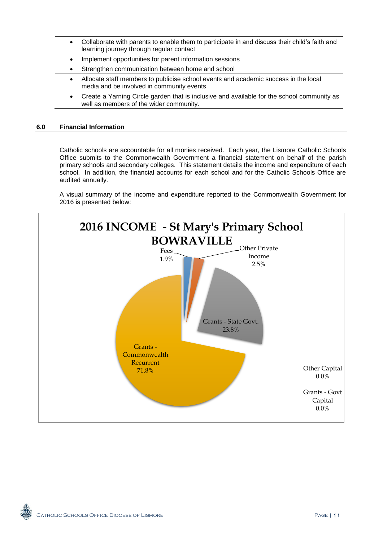- Collaborate with parents to enable them to participate in and discuss their child's faith and learning journey through regular contact
- Implement opportunities for parent information sessions
- Strengthen communication between home and school
- Allocate staff members to publicise school events and academic success in the local media and be involved in community events
- Create a Yarning Circle garden that is inclusive and available for the school community as well as members of the wider community.

#### **6.0 Financial Information**

Catholic schools are accountable for all monies received. Each year, the Lismore Catholic Schools Office submits to the Commonwealth Government a financial statement on behalf of the parish primary schools and secondary colleges. This statement details the income and expenditure of each school. In addition, the financial accounts for each school and for the Catholic Schools Office are audited annually.

A visual summary of the income and expenditure reported to the Commonwealth Government for 2016 is presented below: